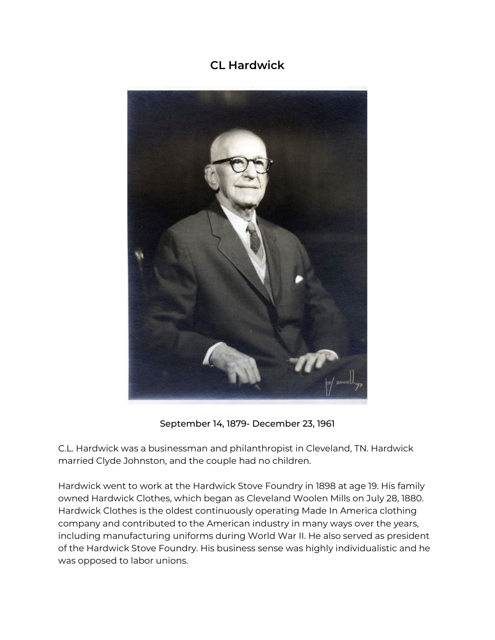## **CL Hardwick**



September 14, 1879- December 23, 1961

C.L. Hardwick was a businessman and philanthropist in Cleveland, TN. Hardwick married Clyde Johnston, and the couple had no children.

Hardwick went to work at the Hardwick Stove Foundry in 1898 at age 19. His family owned Hardwick Clothes, which began as Cleveland Woolen Mills on July 28, 1880. Hardwick Clothes is the oldest continuously operating Made In America clothing company and contributed to the American industry in many ways over the years, including manufacturing uniforms during World War II. He also served as president of the Hardwick Stove Foundry. His business sense was highly individualistic and he was opposed to labor unions.